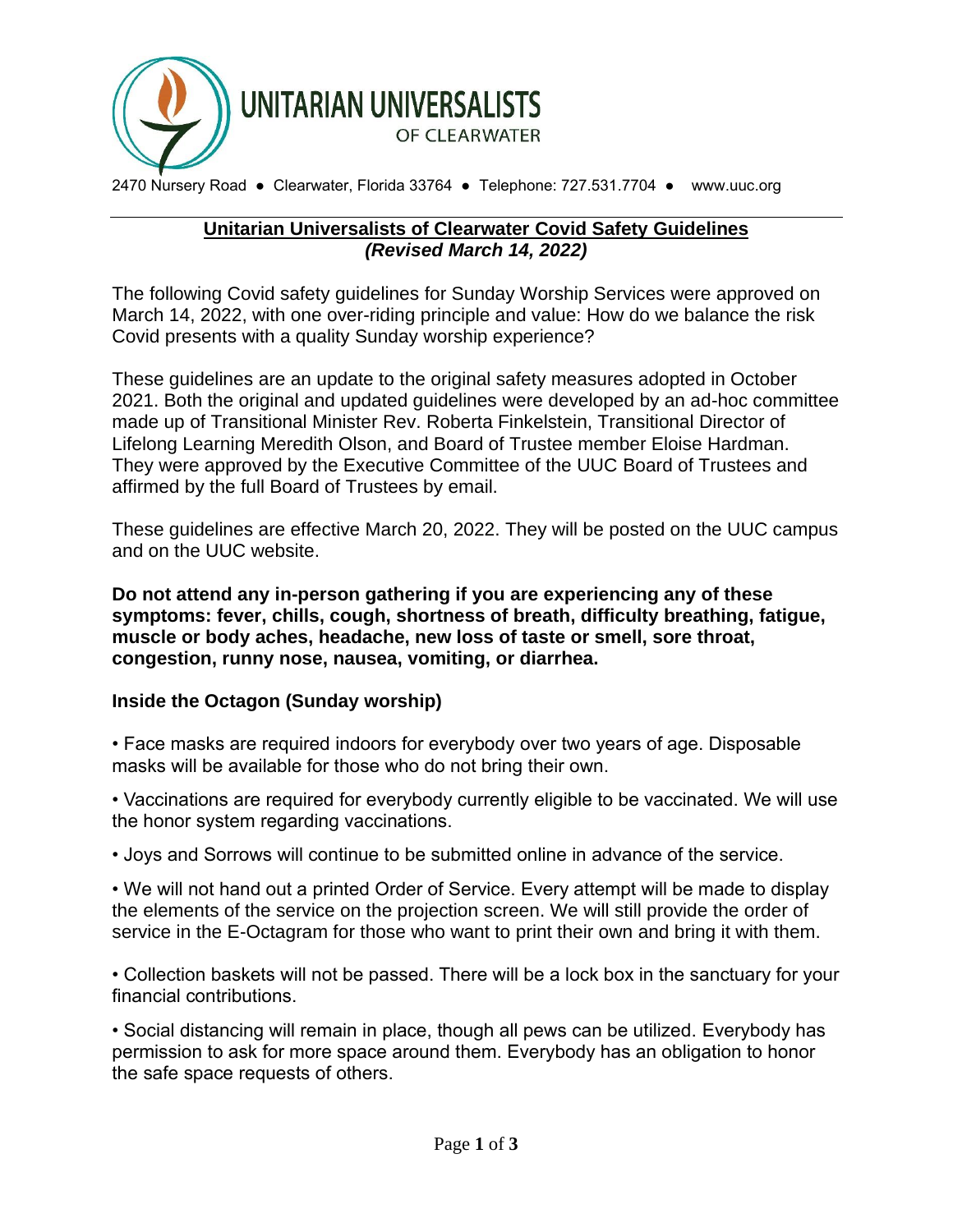

2470 Nursery Road ● Clearwater, Florida 33764 ● Telephone: 727.531.7704 ● www.uuc.org

## **Unitarian Universalists of Clearwater Covid Safety Guidelines** *(Revised March 14, 2022)*

The following Covid safety guidelines for Sunday Worship Services were approved on March 14, 2022, with one over-riding principle and value: How do we balance the risk Covid presents with a quality Sunday worship experience?

These guidelines are an update to the original safety measures adopted in October 2021. Both the original and updated guidelines were developed by an ad-hoc committee made up of Transitional Minister Rev. Roberta Finkelstein, Transitional Director of Lifelong Learning Meredith Olson, and Board of Trustee member Eloise Hardman. They were approved by the Executive Committee of the UUC Board of Trustees and affirmed by the full Board of Trustees by email.

These guidelines are effective March 20, 2022. They will be posted on the UUC campus and on the UUC website.

**Do not attend any in-person gathering if you are experiencing any of these symptoms: fever, chills, cough, shortness of breath, difficulty breathing, fatigue, muscle or body aches, headache, new loss of taste or smell, sore throat, congestion, runny nose, nausea, vomiting, or diarrhea.**

## **Inside the Octagon (Sunday worship)**

• Face masks are required indoors for everybody over two years of age. Disposable masks will be available for those who do not bring their own.

• Vaccinations are required for everybody currently eligible to be vaccinated. We will use the honor system regarding vaccinations.

• Joys and Sorrows will continue to be submitted online in advance of the service.

• We will not hand out a printed Order of Service. Every attempt will be made to display the elements of the service on the projection screen. We will still provide the order of service in the E-Octagram for those who want to print their own and bring it with them.

• Collection baskets will not be passed. There will be a lock box in the sanctuary for your financial contributions.

• Social distancing will remain in place, though all pews can be utilized. Everybody has permission to ask for more space around them. Everybody has an obligation to honor the safe space requests of others.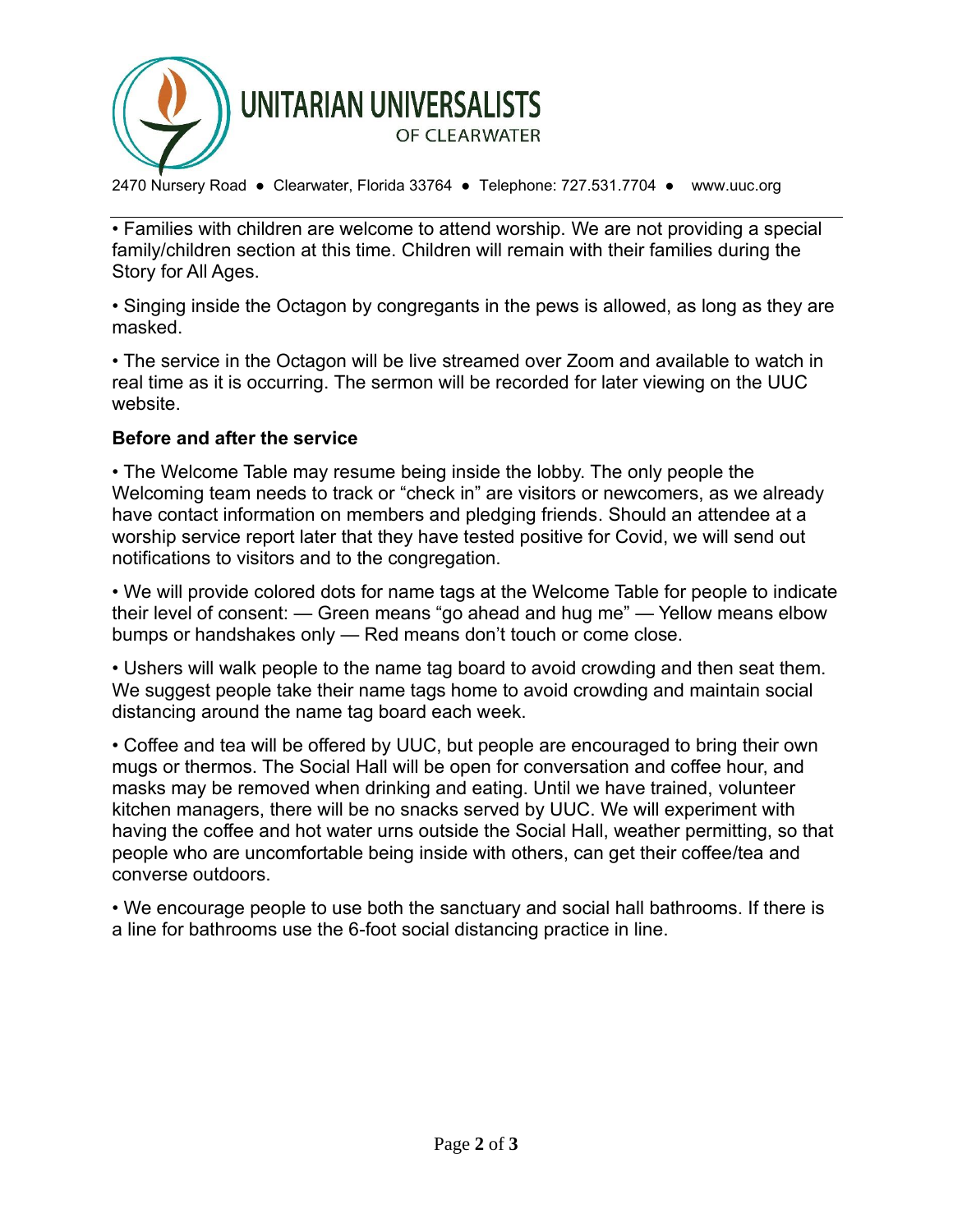

2470 Nursery Road ● Clearwater, Florida 33764 ● Telephone: 727.531.7704 ● www.uuc.org

• Families with children are welcome to attend worship. We are not providing a special family/children section at this time. Children will remain with their families during the Story for All Ages.

• Singing inside the Octagon by congregants in the pews is allowed, as long as they are masked.

• The service in the Octagon will be live streamed over Zoom and available to watch in real time as it is occurring. The sermon will be recorded for later viewing on the UUC website.

## **Before and after the service**

• The Welcome Table may resume being inside the lobby. The only people the Welcoming team needs to track or "check in" are visitors or newcomers, as we already have contact information on members and pledging friends. Should an attendee at a worship service report later that they have tested positive for Covid, we will send out notifications to visitors and to the congregation.

• We will provide colored dots for name tags at the Welcome Table for people to indicate their level of consent: — Green means "go ahead and hug me" — Yellow means elbow bumps or handshakes only — Red means don't touch or come close.

• Ushers will walk people to the name tag board to avoid crowding and then seat them. We suggest people take their name tags home to avoid crowding and maintain social distancing around the name tag board each week.

• Coffee and tea will be offered by UUC, but people are encouraged to bring their own mugs or thermos. The Social Hall will be open for conversation and coffee hour, and masks may be removed when drinking and eating. Until we have trained, volunteer kitchen managers, there will be no snacks served by UUC. We will experiment with having the coffee and hot water urns outside the Social Hall, weather permitting, so that people who are uncomfortable being inside with others, can get their coffee/tea and converse outdoors.

• We encourage people to use both the sanctuary and social hall bathrooms. If there is a line for bathrooms use the 6-foot social distancing practice in line.